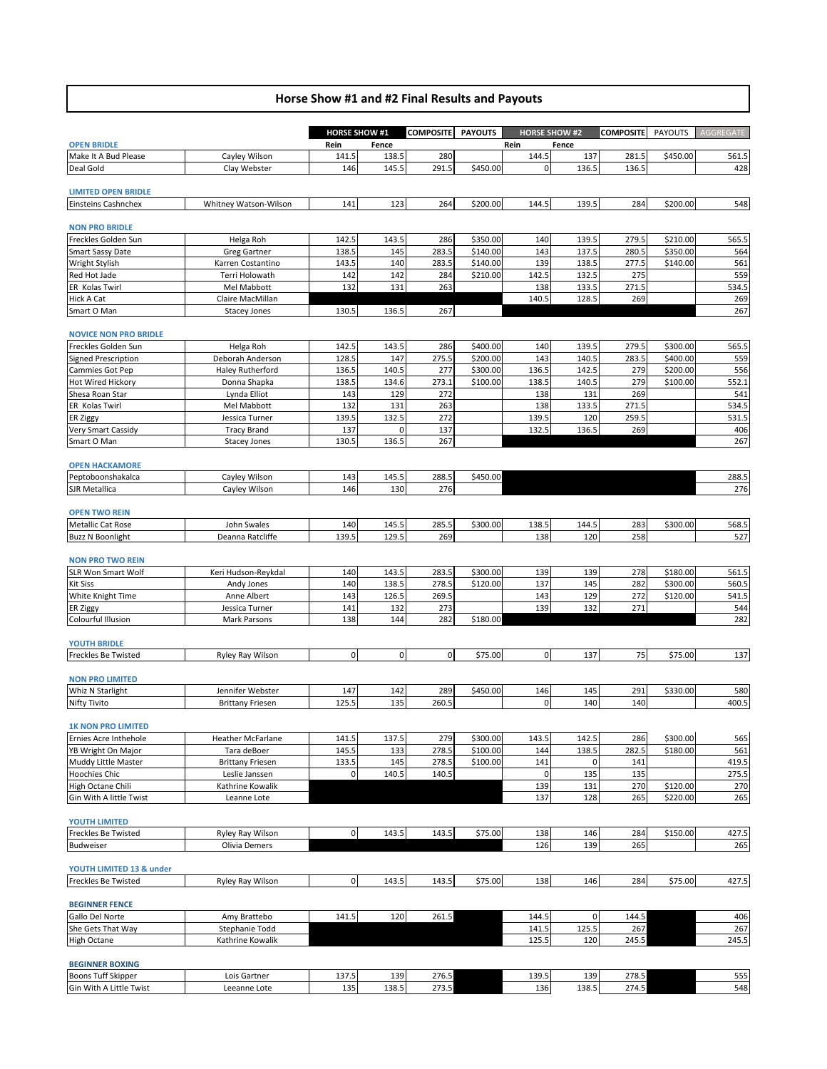## Horse Show #1 and #2 Final Results and Payouts

|                                                     |                                         | <b>HORSE SHOW #1</b><br><b>COMPOSITE</b> |                |              | <b>PAYOUTS</b><br><b>HORSE SHOW #2</b> |               |              | <b>COMPOSITE</b> | PAYOUTS  | <b>AGGREGATE</b> |
|-----------------------------------------------------|-----------------------------------------|------------------------------------------|----------------|--------------|----------------------------------------|---------------|--------------|------------------|----------|------------------|
| <b>OPEN BRIDLE</b><br>Make It A Bud Please          | Cayley Wilson                           | Rein<br>141.5                            | Fence<br>138.5 | 280          |                                        | Rein<br>144.5 | Fence<br>137 | 281.5            | \$450.00 | 561.5            |
| Deal Gold                                           | Clay Webster                            | 146                                      | 145.5          | 291.5        | \$450.00                               | $\mathbf 0$   | 136.5        | 136.5            |          | 428              |
|                                                     |                                         |                                          |                |              |                                        |               |              |                  |          |                  |
| <b>LIMITED OPEN BRIDLE</b>                          |                                         |                                          |                |              |                                        |               |              |                  |          |                  |
| <b>Einsteins Cashnchex</b>                          | Whitney Watson-Wilson                   | 141                                      | 123            | 264          | \$200.00                               | 144.5         | 139.5        | 284              | \$200.00 | 548              |
|                                                     |                                         |                                          |                |              |                                        |               |              |                  |          |                  |
| <b>NON PRO BRIDLE</b>                               |                                         |                                          |                |              |                                        |               |              |                  |          |                  |
| Freckles Golden Sun                                 | Helga Roh                               | 142.5                                    | 143.5          | 286          | \$350.00                               | 140           | 139.5        | 279.5            | \$210.00 | 565.5            |
| <b>Smart Sassy Date</b>                             | <b>Greg Gartner</b>                     | 138.5                                    | 145            | 283.5        | \$140.00                               | 143           | 137.5        | 280.5            | \$350.00 | 564              |
| <b>Wright Stylish</b>                               | Karren Costantino                       | 143.5                                    | 140            | 283.5        | \$140.00                               | 139           | 138.5        | 277.5            | \$140.00 | 561              |
| Red Hot Jade                                        | Terri Holowath                          | 142                                      | 142            | 284          | \$210.00                               | 142.5         | 132.5        | 275              |          | 559              |
| ER Kolas Twirl                                      | Mel Mabbott                             | 132                                      | 131            | 263          |                                        | 138           | 133.5        | 271.5            |          | 534.5            |
| Hick A Cat<br>Smart O Man                           | Claire MacMillan<br><b>Stacey Jones</b> | 130.5                                    | 136.5          | 267          |                                        | 140.5         | 128.5        | 269              |          | 269<br>267       |
|                                                     |                                         |                                          |                |              |                                        |               |              |                  |          |                  |
| <b>NOVICE NON PRO BRIDLE</b>                        |                                         |                                          |                |              |                                        |               |              |                  |          |                  |
| Freckles Golden Sun                                 | Helga Roh                               | 142.5                                    | 143.5          | 286          | \$400.00                               | 140           | 139.5        | 279.5            | \$300.00 | 565.5            |
| <b>Signed Prescription</b>                          | Deborah Anderson                        | 128.5                                    | 147            | 275.5        | \$200.00                               | 143           | 140.5        | 283.5            | \$400.00 | 559              |
| <b>Cammies Got Pep</b>                              | Haley Rutherford                        | 136.5                                    | 140.5          | 277          | \$300.00                               | 136.5         | 142.5        | 279              | \$200.00 | 556              |
| <b>Hot Wired Hickory</b>                            | Donna Shapka                            | 138.5                                    | 134.6          | 273.1        | \$100.00                               | 138.5         | 140.5        | 279              | \$100.00 | 552.1            |
| Shesa Roan Star                                     | Lynda Elliot                            | 143                                      | 129            | 272          |                                        | 138           | 131          | 269              |          | 541              |
| ER Kolas Twirl                                      | Mel Mabbott                             | 132                                      | 131            | 263          |                                        | 138           | 133.5        | 271.5            |          | 534.5            |
| <b>ER Ziggy</b>                                     | Jessica Turner                          | 139.5                                    | 132.5          | 272          |                                        | 139.5         | 120          | 259.5            |          | 531.5            |
| Very Smart Cassidy                                  | <b>Tracy Brand</b>                      | 137                                      | 0              | 137          |                                        | 132.5         | 136.5        | 269              |          | 406              |
| Smart O Man                                         | <b>Stacey Jones</b>                     | 130.5                                    | 136.5          | 267          |                                        |               |              |                  |          | 267              |
|                                                     |                                         |                                          |                |              |                                        |               |              |                  |          |                  |
| <b>OPEN HACKAMORE</b>                               |                                         |                                          |                |              |                                        |               |              |                  |          |                  |
| Peptoboonshakalca<br><b>SJR Metallica</b>           | Cayley Wilson                           | 143<br>146                               | 145.5<br>130   | 288.5<br>276 | \$450.00                               |               |              |                  |          | 288.5<br>276     |
|                                                     | Cayley Wilson                           |                                          |                |              |                                        |               |              |                  |          |                  |
| <b>OPEN TWO REIN</b>                                |                                         |                                          |                |              |                                        |               |              |                  |          |                  |
| <b>Metallic Cat Rose</b>                            | John Swales                             | 140                                      | 145.5          | 285.5        | \$300.00                               | 138.5         | 144.5        | 283              | \$300.00 | 568.5            |
| <b>Buzz N Boonlight</b>                             | Deanna Ratcliffe                        | 139.5                                    | 129.5          | 269          |                                        | 138           | 120          | 258              |          | 527              |
|                                                     |                                         |                                          |                |              |                                        |               |              |                  |          |                  |
| <b>NON PRO TWO REIN</b>                             |                                         |                                          |                |              |                                        |               |              |                  |          |                  |
| <b>SLR Won Smart Wolf</b>                           | Keri Hudson-Reykdal                     | 140                                      | 143.5          | 283.5        | \$300.00                               | 139           | 139          | 278              | \$180.00 | 561.5            |
| <b>Kit Siss</b>                                     | Andy Jones                              | 140                                      | 138.5          | 278.5        | \$120.00                               | 137           | 145          | 282              | \$300.00 | 560.5            |
| White Knight Time                                   | Anne Albert                             | 143                                      | 126.5          | 269.5        |                                        | 143           | 129          | 272              | \$120.00 | 541.5            |
| <b>ER Ziggy</b>                                     | Jessica Turner                          | 141                                      | 132            | 273          |                                        | 139           | 132          | 271              |          | 544              |
| Colourful Illusion                                  | <b>Mark Parsons</b>                     | 138                                      | 144            | 282          | \$180.00                               |               |              |                  |          | 282              |
|                                                     |                                         |                                          |                |              |                                        |               |              |                  |          |                  |
| <b>YOUTH BRIDLE</b>                                 |                                         | $\circ$                                  | $\mathbf{0}$   | $\mathsf{o}$ | \$75.00                                | $\mathbf{0}$  | 137          | 75               | \$75.00  |                  |
| Freckles Be Twisted                                 | Ryley Ray Wilson                        |                                          |                |              |                                        |               |              |                  |          | 137              |
| <b>NON PRO LIMITED</b>                              |                                         |                                          |                |              |                                        |               |              |                  |          |                  |
| Whiz N Starlight                                    | Jennifer Webster                        | 147                                      | 142            | 289          | \$450.00                               | 146           | 145          | 291              | \$330.00 | 580              |
| Nifty Tivito                                        | <b>Brittany Friesen</b>                 | 125.5                                    | 135            | 260.5        |                                        | 0             | 140          | 140              |          | 400.5            |
|                                                     |                                         |                                          |                |              |                                        |               |              |                  |          |                  |
| <b>1K NON PRO LIMITED</b>                           |                                         |                                          |                |              |                                        |               |              |                  |          |                  |
| Ernies Acre Inthehole                               | Heather McFarlane                       | 141.5                                    | 137.5          | 279          | \$300.00                               | 143.5         | 142.5        | 286              | \$300.00 | 565              |
| YB Wright On Major                                  | Tara deBoer                             | 145.5                                    | 133            | 278.5        | \$100.00                               | 144           | 138.5        | 282.5            | \$180.00 | 561              |
| Muddy Little Master                                 | <b>Brittany Friesen</b>                 | 133.5                                    | 145            | 278.5        | \$100.00                               | 141           | 0            | 141              |          | 419.5            |
| <b>Hoochies Chic</b>                                | Leslie Janssen                          | $\mathbf 0$                              | 140.5          | 140.5        |                                        | $\mathbf 0$   | 135          | 135              |          | 275.5            |
| High Octane Chili                                   | Kathrine Kowalik                        |                                          |                |              |                                        | 139           | 131          | 270              | \$120.00 | 270              |
| Gin With A little Twist                             | Leanne Lote                             |                                          |                |              |                                        | 137           | 128          | 265              | \$220.00 | 265              |
| <b>YOUTH LIMITED</b>                                |                                         |                                          |                |              |                                        |               |              |                  |          |                  |
| <b>Freckles Be Twisted</b>                          | Ryley Ray Wilson                        | $\overline{0}$                           | 143.5          | 143.5        | \$75.00                                | 138           | 146          | 284              | \$150.00 | 427.5            |
| <b>Budweiser</b>                                    | Olivia Demers                           |                                          |                |              |                                        | 126           | 139          | 265              |          | 265              |
|                                                     |                                         |                                          |                |              |                                        |               |              |                  |          |                  |
| YOUTH LIMITED 13 & under                            |                                         |                                          |                |              |                                        |               |              |                  |          |                  |
| <b>Freckles Be Twisted</b>                          | Ryley Ray Wilson                        | $\overline{0}$                           | 143.5          | 143.5        | \$75.00                                | 138           | 146          | 284              | \$75.00  | 427.5            |
|                                                     |                                         |                                          |                |              |                                        |               |              |                  |          |                  |
| <b>BEGINNER FENCE</b>                               |                                         |                                          |                |              |                                        |               |              |                  |          |                  |
| Gallo Del Norte                                     | Amy Brattebo                            | 141.5                                    | 120            | 261.5        |                                        | 144.5         | 0            | 144.5            |          | 406              |
| She Gets That Way                                   | Stephanie Todd                          |                                          |                |              |                                        | 141.5         | 125.5        | 267              |          | 267              |
| <b>High Octane</b>                                  | Kathrine Kowalik                        |                                          |                |              |                                        | 125.5         | 120          | 245.5            |          | 245.5            |
|                                                     |                                         |                                          |                |              |                                        |               |              |                  |          |                  |
| <b>BEGINNER BOXING</b><br><b>Boons Tuff Skipper</b> | Lois Gartner                            | 137.5                                    | 139            | 276.5        |                                        | 139.5         | 139          | 278.5            |          | 555              |
| Gin With A Little Twist                             | Leeanne Lote                            | 135                                      | 138.5          | 273.5        |                                        | 136           | 138.5        | 274.5            |          | 548              |
|                                                     |                                         |                                          |                |              |                                        |               |              |                  |          |                  |